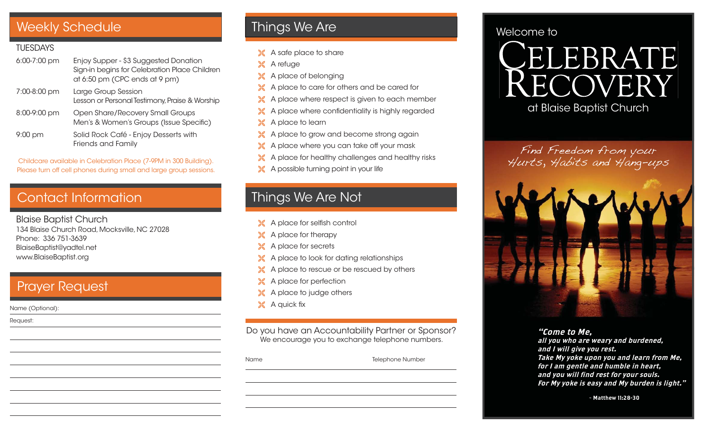## Weekly Schedule **Things We Are**

#### **TUESDAYS**

| $6:00-7:00$ pm | Enjoy Supper - \$3 Suggested Donation<br>Sign-in begins for Celebration Place Children<br>at 6:50 pm (CPC ends at 9 pm) |
|----------------|-------------------------------------------------------------------------------------------------------------------------|
| 7:00-8:00 pm   | Large Group Session<br>Lesson or Personal Testimony, Praise & Worship                                                   |
| 8:00-9:00 pm   | Open Share/Recovery Small Groups<br>Men's & Women's Groups (Issue Specific)                                             |
| $9:00$ pm      | Solid Rock Café - Enjoy Desserts with<br>Friends and Family                                                             |

Childcare available in Celebration Place (7-9PM in 300 Building). Please turn off cell phones during small and large group sessions.

## Contact Information

Blaise Baptist Church 134 Blaise Church Road, Mocksville, NC 27028 Phone: 336 751-3639 BlaiseBaptist@yadtel.net www.BlaiseBaptist.org

### Prayer Request

Name (Optional):

Request:

X A safe place to share

**X** A refuge

- X A place of belonging
- A place to care for others and be cared for
- X A place where respect is given to each member
- $\mathbb X$  A place where confidentiality is highly regarded
- X A place to learn
- X A place to grow and become strong again
- X A place where you can take off your mask
- A place for healthy challenges and healthy risks
- A possible turning point in your life

# Things We Are Not

- $\mathbb X$  A place for selfish control
- **A** place for therapy
- **X** A place for secrets
- A place to look for dating relationships
- A place to rescue or be rescued by others
- X A place for perfection
- X A place to judge others
- $\mathbb X$  A quick fix

Do you have an Accountability Partner or Sponsor? We encourage you to exchange telephone numbers.

Name Telephone Number

### Welcome to

ELEBRATE

at Blaise Baptist Church

Find Freedom from your Hurts, Habits and Hang-ups



#### "Come to Me,

all you who are weary and burdened, and I will give you rest. Take My yoke upon you and learn from Me, for I am gentle and humble in heart, and you will find rest for your souls. For My yoke is easy and My burden is light."